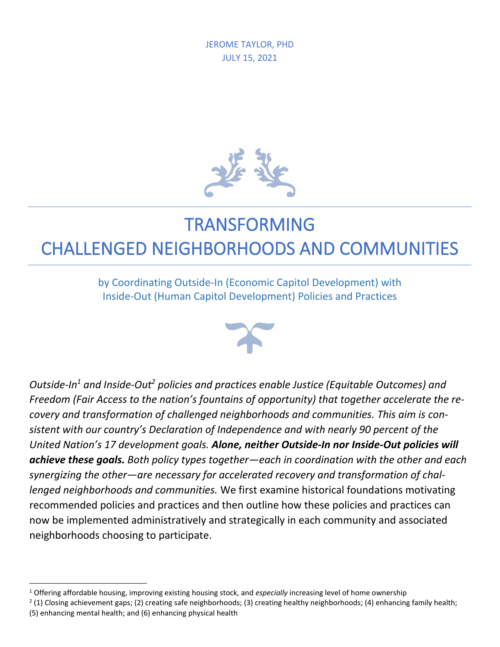

## TRANSFORMING

## CHALLENGED NEIGHBORHOODS AND COMMUNITIES

by Coordinating Outside-In (Economic Capitol Development) with Inside-Out (Human Capitol Development) Policies and Practices



*Outside-In<sup>1</sup> and Inside-Out<sup>2</sup> policies and practices enable Justice (Equitable Outcomes) and Freedom (Fair Access to the nation's fountains of opportunity) that together accelerate the recovery and transformation of challenged neighborhoods and communities. This aim is consistent with our country's Declaration of Independence and with nearly 90 percent of the United Nation's 17 development goals. Alone, neither Outside-In nor Inside-Out policies will achieve these goals. Both policy types together—each in coordination with the other and each synergizing the other—are necessary for accelerated recovery and transformation of challenged neighborhoods and communities.* We first examine historical foundations motivating recommended policies and practices and then outline how these policies and practices can now be implemented administratively and strategically in each community and associated neighborhoods choosing to participate.

<sup>1</sup> Offering affordable housing, improving existing housing stock, and *especially* increasing level of home ownership

 $2$  (1) Closing achievement gaps; (2) creating safe neighborhoods; (3) creating healthy neighborhoods; (4) enhancing family health; (5) enhancing mental health; and (6) enhancing physical health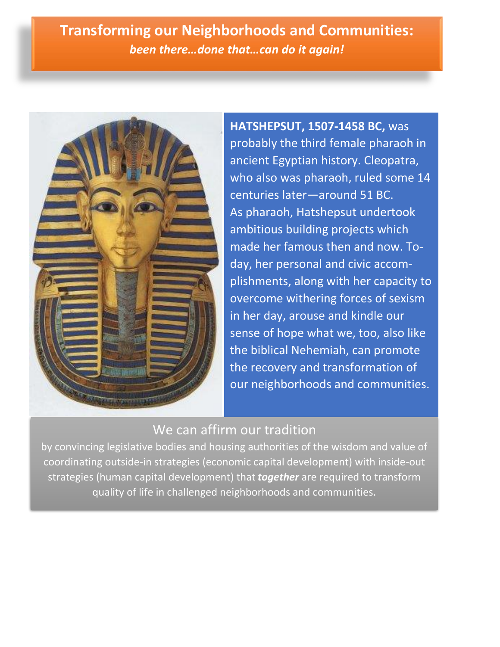**Transforming our Neighborhoods and Communities:** *been there…done that…can do it again!*



**HATSHEPSUT, 1507-1458 BC,** was probably the third female pharaoh in ancient Egyptian history. Cleopatra, who also was pharaoh, ruled some 14 centuries later—around 51 BC. As pharaoh, Hatshepsut undertook ambitious building projects which made her famous then and now. Today, her personal and civic accomplishments, along with her capacity to overcome withering forces of sexism in her day, arouse and kindle our sense of hope what we, too, also like the biblical Nehemiah, can promote the recovery and transformation of our neighborhoods and communities.

## We can affirm our tradition

by convincing legislative bodies and housing authorities of the wisdom and value of coordinating outside-in strategies (economic capital development) with inside-out strategies (human capital development) that *together* are required to transform quality of life in challenged neighborhoods and communities.